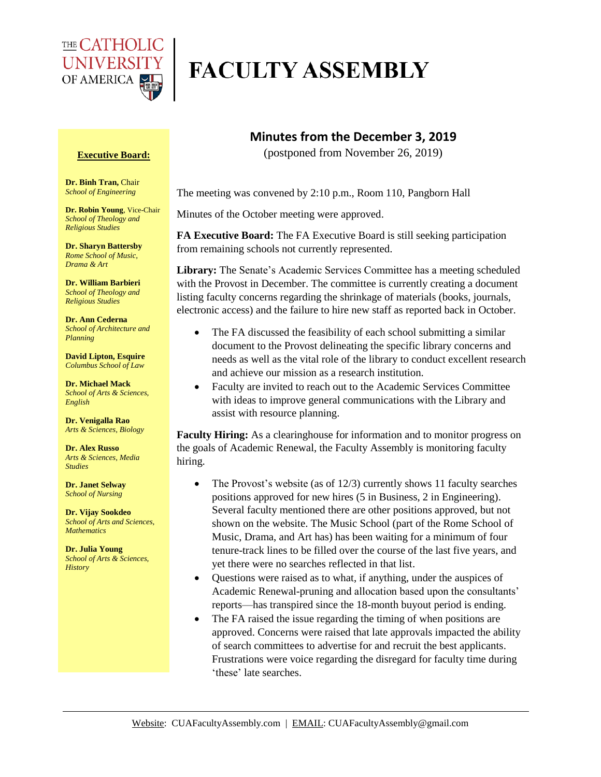

## **FACULTY ASSEMBLY**

## **Executive Board:**

**Dr. Binh Tran,** Chair *School of Engineering*

**Dr. Robin Young**, Vice-Chair *School of Theology and Religious Studies*

**Dr. Sharyn Battersby** *Rome School of Music, Drama & Art* 

**Dr. William Barbieri** *School of Theology and Religious Studies*

**Dr. Ann Cederna** *School of Architecture and Planning* 

**David Lipton, Esquire** *Columbus School of Law*

**Dr. Michael Mack** *School of Arts & Sciences, English*

**Dr. Venigalla Rao** *Arts & Sciences, Biology*

**Dr. Alex Russo** *Arts & Sciences, Media Studies*

**Dr. Janet Selway** *School of Nursing*

**Dr. Vijay Sookdeo** *School of Arts and Sciences, Mathematics*

**Dr. Julia Young** *School of Arts & Sciences, History*

## **Minutes from the December 3, 2019**

(postponed from November 26, 2019)

The meeting was convened by 2:10 p.m., Room 110, Pangborn Hall

Minutes of the October meeting were approved.

**FA Executive Board:** The FA Executive Board is still seeking participation from remaining schools not currently represented.

Library: The Senate's Academic Services Committee has a meeting scheduled with the Provost in December. The committee is currently creating a document listing faculty concerns regarding the shrinkage of materials (books, journals, electronic access) and the failure to hire new staff as reported back in October.

- The FA discussed the feasibility of each school submitting a similar document to the Provost delineating the specific library concerns and needs as well as the vital role of the library to conduct excellent research and achieve our mission as a research institution.
- Faculty are invited to reach out to the Academic Services Committee with ideas to improve general communications with the Library and assist with resource planning.

**Faculty Hiring:** As a clearinghouse for information and to monitor progress on the goals of Academic Renewal, the Faculty Assembly is monitoring faculty hiring.

- The Provost's website (as of 12/3) currently shows 11 faculty searches positions approved for new hires (5 in Business, 2 in Engineering). Several faculty mentioned there are other positions approved, but not shown on the website. The Music School (part of the Rome School of Music, Drama, and Art has) has been waiting for a minimum of four tenure-track lines to be filled over the course of the last five years, and yet there were no searches reflected in that list.
- Questions were raised as to what, if anything, under the auspices of Academic Renewal-pruning and allocation based upon the consultants' reports—has transpired since the 18-month buyout period is ending.
- The FA raised the issue regarding the timing of when positions are approved. Concerns were raised that late approvals impacted the ability of search committees to advertise for and recruit the best applicants. Frustrations were voice regarding the disregard for faculty time during 'these' late searches.